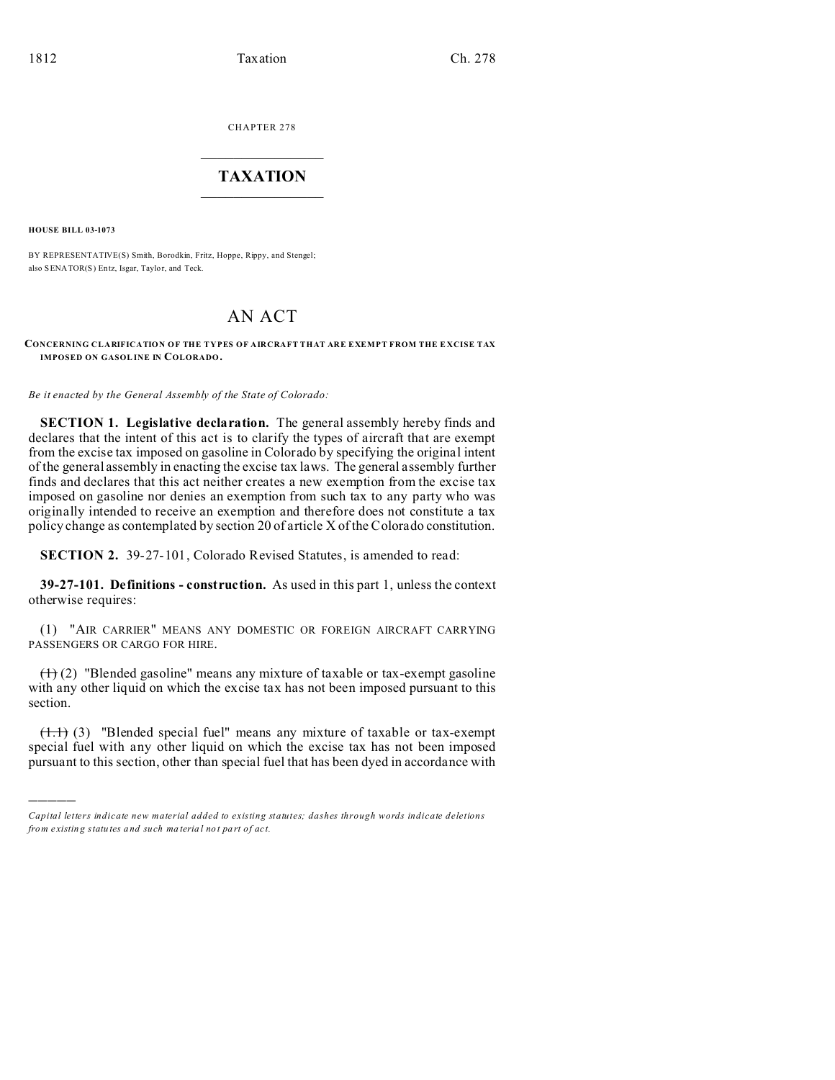CHAPTER 278  $\overline{\phantom{a}}$  , where  $\overline{\phantom{a}}$ 

## **TAXATION**  $\_$

**HOUSE BILL 03-1073**

)))))

BY REPRESENTATIVE(S) Smith, Borodkin, Fritz, Hoppe, Rippy, and Stengel; also SENATOR(S) Entz, Isgar, Taylor, and Teck.

# AN ACT

#### **CONCERNING CLARIFICATION OF THE TYPES OF AIRCRAFT THAT ARE EXEMPT FROM THE E XCISE TAX IMPOSED ON GASOL INE IN COLORADO.**

*Be it enacted by the General Assembly of the State of Colorado:*

**SECTION 1. Legislative declaration.** The general assembly hereby finds and declares that the intent of this act is to clarify the types of aircraft that are exempt from the excise tax imposed on gasoline in Colorado by specifying the original intent of the general assembly in enacting the excise tax laws. The general assembly further finds and declares that this act neither creates a new exemption from the excise tax imposed on gasoline nor denies an exemption from such tax to any party who was originally intended to receive an exemption and therefore does not constitute a tax policy change as contemplated by section 20 of article X of the Colorado constitution.

**SECTION 2.** 39-27-101, Colorado Revised Statutes, is amended to read:

**39-27-101. Definitions - construction.** As used in this part 1, unless the context otherwise requires:

(1) "AIR CARRIER" MEANS ANY DOMESTIC OR FOREIGN AIRCRAFT CARRYING PASSENGERS OR CARGO FOR HIRE.

 $(1)$  (2) "Blended gasoline" means any mixture of taxable or tax-exempt gasoline with any other liquid on which the excise tax has not been imposed pursuant to this section.

 $(1.1)$  (3) "Blended special fuel" means any mixture of taxable or tax-exempt special fuel with any other liquid on which the excise tax has not been imposed pursuant to this section, other than special fuel that has been dyed in accordance with

*Capital letters indicate new material added to existing statutes; dashes through words indicate deletions from e xistin g statu tes a nd such ma teria l no t pa rt of ac t.*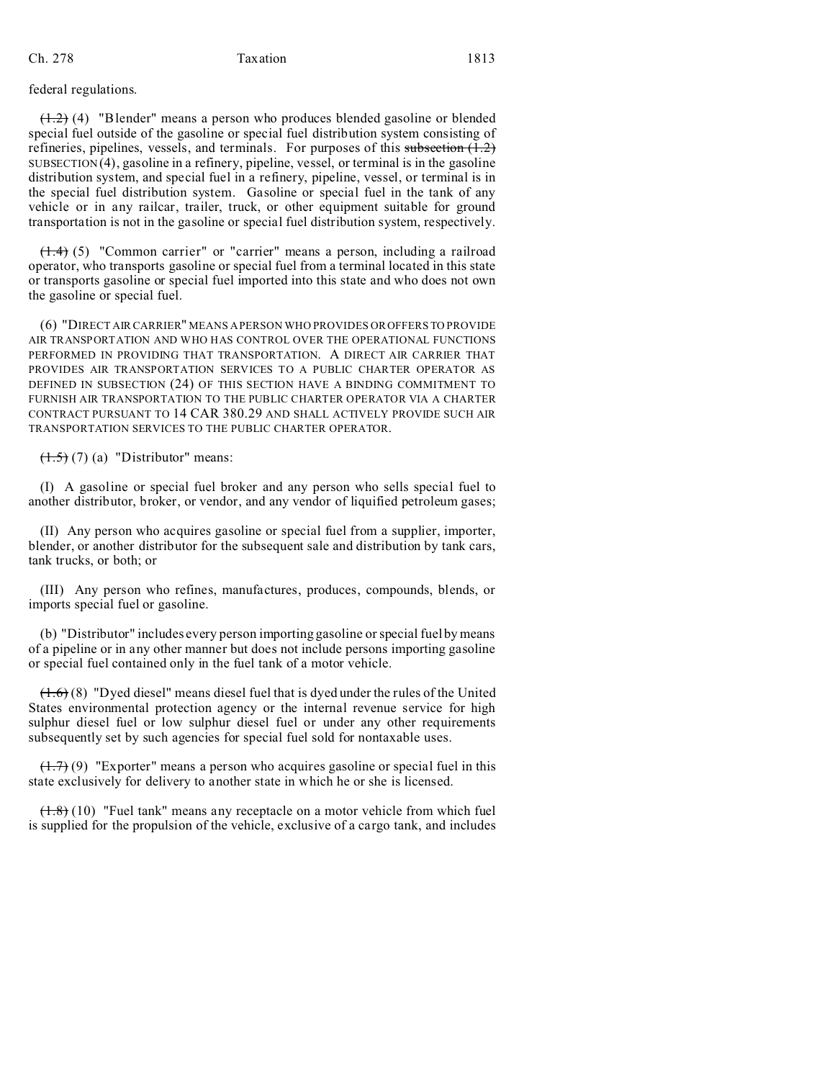## federal regulations.

 $(1.2)$  (4) "Blender" means a person who produces blended gasoline or blended special fuel outside of the gasoline or special fuel distribution system consisting of refineries, pipelines, vessels, and terminals. For purposes of this subsection  $(1.2)$ SUBSECTION (4), gasoline in a refinery, pipeline, vessel, or terminal is in the gasoline distribution system, and special fuel in a refinery, pipeline, vessel, or terminal is in the special fuel distribution system. Gasoline or special fuel in the tank of any vehicle or in any railcar, trailer, truck, or other equipment suitable for ground transportation is not in the gasoline or special fuel distribution system, respectively.

 $(1.4)$  (5) "Common carrier" or "carrier" means a person, including a railroad operator, who transports gasoline or special fuel from a terminal located in this state or transports gasoline or special fuel imported into this state and who does not own the gasoline or special fuel.

(6) "DIRECT AIR CARRIER" MEANS A PERSON WHO PROVIDES OR OFFERS TO PROVIDE AIR TRANSPORTATION AND WHO HAS CONTROL OVER THE OPERATIONAL FUNCTIONS PERFORMED IN PROVIDING THAT TRANSPORTATION. A DIRECT AIR CARRIER THAT PROVIDES AIR TRANSPORTATION SERVICES TO A PUBLIC CHARTER OPERATOR AS DEFINED IN SUBSECTION (24) OF THIS SECTION HAVE A BINDING COMMITMENT TO FURNISH AIR TRANSPORTATION TO THE PUBLIC CHARTER OPERATOR VIA A CHARTER CONTRACT PURSUANT TO 14 CAR 380.29 AND SHALL ACTIVELY PROVIDE SUCH AIR TRANSPORTATION SERVICES TO THE PUBLIC CHARTER OPERATOR.

 $~~(1.5)~~ (7) (a) "Distribution" means:$ </del>

(I) A gasoline or special fuel broker and any person who sells special fuel to another distributor, broker, or vendor, and any vendor of liquified petroleum gases;

(II) Any person who acquires gasoline or special fuel from a supplier, importer, blender, or another distributor for the subsequent sale and distribution by tank cars, tank trucks, or both; or

(III) Any person who refines, manufactures, produces, compounds, blends, or imports special fuel or gasoline.

(b) "Distributor" includes every person importing gasoline or special fuel by means of a pipeline or in any other manner but does not include persons importing gasoline or special fuel contained only in the fuel tank of a motor vehicle.

 $(1.6)$  (8) "Dyed diesel" means diesel fuel that is dyed under the rules of the United States environmental protection agency or the internal revenue service for high sulphur diesel fuel or low sulphur diesel fuel or under any other requirements subsequently set by such agencies for special fuel sold for nontaxable uses.

 $(1.7)$  (9) "Exporter" means a person who acquires gasoline or special fuel in this state exclusively for delivery to another state in which he or she is licensed.

 $(1.8)$  (10) "Fuel tank" means any receptacle on a motor vehicle from which fuel is supplied for the propulsion of the vehicle, exclusive of a cargo tank, and includes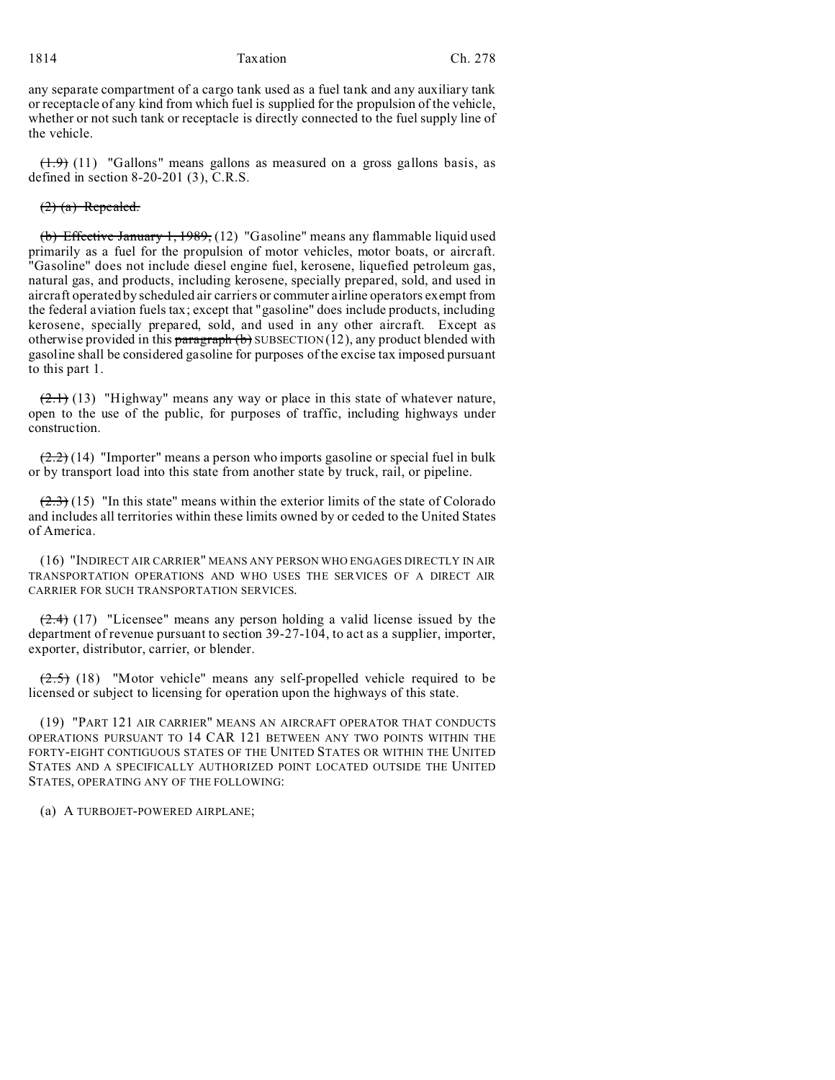## 1814 Taxation Ch. 278

any separate compartment of a cargo tank used as a fuel tank and any auxiliary tank or receptacle of any kind from which fuel is supplied for the propulsion of the vehicle, whether or not such tank or receptacle is directly connected to the fuel supply line of the vehicle.

 $(1.9)$  (11) "Gallons" means gallons as measured on a gross gallons basis, as defined in section 8-20-201 (3), C.R.S.

#### $(2)$   $(a)$  Repealed.

(b) Effective January 1, 1989, (12) "Gasoline" means any flammable liquid used primarily as a fuel for the propulsion of motor vehicles, motor boats, or aircraft. "Gasoline" does not include diesel engine fuel, kerosene, liquefied petroleum gas, natural gas, and products, including kerosene, specially prepared, sold, and used in aircraft operated by scheduled air carriers or commuter airline operators exempt from the federal aviation fuels tax; except that "gasoline" does include products, including kerosene, specially prepared, sold, and used in any other aircraft. Except as otherwise provided in this paragraph  $(b)$  SUBSECTION (12), any product blended with gasoline shall be considered gasoline for purposes of the excise tax imposed pursuant to this part 1.

 $(2.1)$  (13) "Highway" means any way or place in this state of whatever nature, open to the use of the public, for purposes of traffic, including highways under construction.

 $(2.2)$  (14) "Importer" means a person who imports gasoline or special fuel in bulk or by transport load into this state from another state by truck, rail, or pipeline.

 $(2.3)$  (15) "In this state" means within the exterior limits of the state of Colorado and includes all territories within these limits owned by or ceded to the United States of America.

(16) "INDIRECT AIR CARRIER" MEANS ANY PERSON WHO ENGAGES DIRECTLY IN AIR TRANSPORTATION OPERATIONS AND WHO USES THE SERVICES OF A DIRECT AIR CARRIER FOR SUCH TRANSPORTATION SERVICES.

 $(2.4)$  (17) "Licensee" means any person holding a valid license issued by the department of revenue pursuant to section 39-27-104, to act as a supplier, importer, exporter, distributor, carrier, or blender.

 $(2.5)$  (18) "Motor vehicle" means any self-propelled vehicle required to be licensed or subject to licensing for operation upon the highways of this state.

(19) "PART 121 AIR CARRIER" MEANS AN AIRCRAFT OPERATOR THAT CONDUCTS OPERATIONS PURSUANT TO 14 CAR 121 BETWEEN ANY TWO POINTS WITHIN THE FORTY-EIGHT CONTIGUOUS STATES OF THE UNITED STATES OR WITHIN THE UNITED STATES AND A SPECIFICALLY AUTHORIZED POINT LOCATED OUTSIDE THE UNITED STATES, OPERATING ANY OF THE FOLLOWING:

(a) A TURBOJET-POWERED AIRPLANE;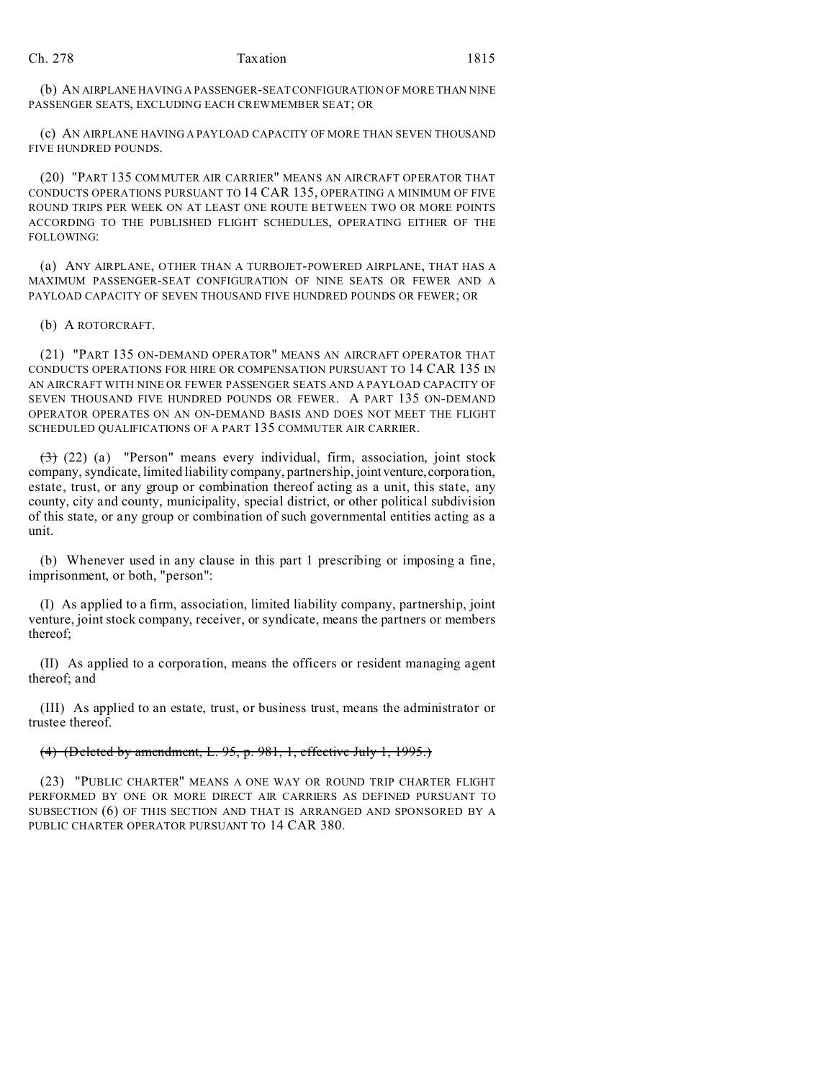(b) AN AIRPLANE HAVING A PASSENGER-SEAT CONFIGURATION OF MORE THAN NINE PASSENGER SEATS, EXCLUDING EACH CREWMEMBER SEAT; OR

(c) AN AIRPLANE HAVING A PAYLOAD CAPACITY OF MORE THAN SEVEN THOUSAND FIVE HUNDRED POUNDS.

(20) "PART 135 COMMUTER AIR CARRIER" MEANS AN AIRCRAFT OPERATOR THAT CONDUCTS OPERATIONS PURSUANT TO 14 CAR 135, OPERATING A MINIMUM OF FIVE ROUND TRIPS PER WEEK ON AT LEAST ONE ROUTE BETWEEN TWO OR MORE POINTS ACCORDING TO THE PUBLISHED FLIGHT SCHEDULES, OPERATING EITHER OF THE FOLLOWING:

(a) ANY AIRPLANE, OTHER THAN A TURBOJET-POWERED AIRPLANE, THAT HAS A MAXIMUM PASSENGER-SEAT CONFIGURATION OF NINE SEATS OR FEWER AND A PAYLOAD CAPACITY OF SEVEN THOUSAND FIVE HUNDRED POUNDS OR FEWER; OR

(b) A ROTORCRAFT.

(21) "PART 135 ON-DEMAND OPERATOR" MEANS AN AIRCRAFT OPERATOR THAT CONDUCTS OPERATIONS FOR HIRE OR COMPENSATION PURSUANT TO 14 CAR 135 IN AN AIRCRAFT WITH NINE OR FEWER PASSENGER SEATS AND A PAYLOAD CAPACITY OF SEVEN THOUSAND FIVE HUNDRED POUNDS OR FEWER. A PART 135 ON-DEMAND OPERATOR OPERATES ON AN ON-DEMAND BASIS AND DOES NOT MEET THE FLIGHT SCHEDULED QUALIFICATIONS OF A PART 135 COMMUTER AIR CARRIER.

 $(3)$  (22) (a) "Person" means every individual, firm, association, joint stock company, syndicate, limited liability company, partnership, joint venture, corporation, estate, trust, or any group or combination thereof acting as a unit, this state, any county, city and county, municipality, special district, or other political subdivision of this state, or any group or combination of such governmental entities acting as a unit.

(b) Whenever used in any clause in this part 1 prescribing or imposing a fine, imprisonment, or both, "person":

(I) As applied to a firm, association, limited liability company, partnership, joint venture, joint stock company, receiver, or syndicate, means the partners or members thereof;

(II) As applied to a corporation, means the officers or resident managing agent thereof; and

(III) As applied to an estate, trust, or business trust, means the administrator or trustee thereof.

### (4) (Deleted by amendment, L. 95, p. 981, 1, effective July 1, 1995.)

(23) "PUBLIC CHARTER" MEANS A ONE WAY OR ROUND TRIP CHARTER FLIGHT PERFORMED BY ONE OR MORE DIRECT AIR CARRIERS AS DEFINED PURSUANT TO SUBSECTION (6) OF THIS SECTION AND THAT IS ARRANGED AND SPONSORED BY A PUBLIC CHARTER OPERATOR PURSUANT TO 14 CAR 380.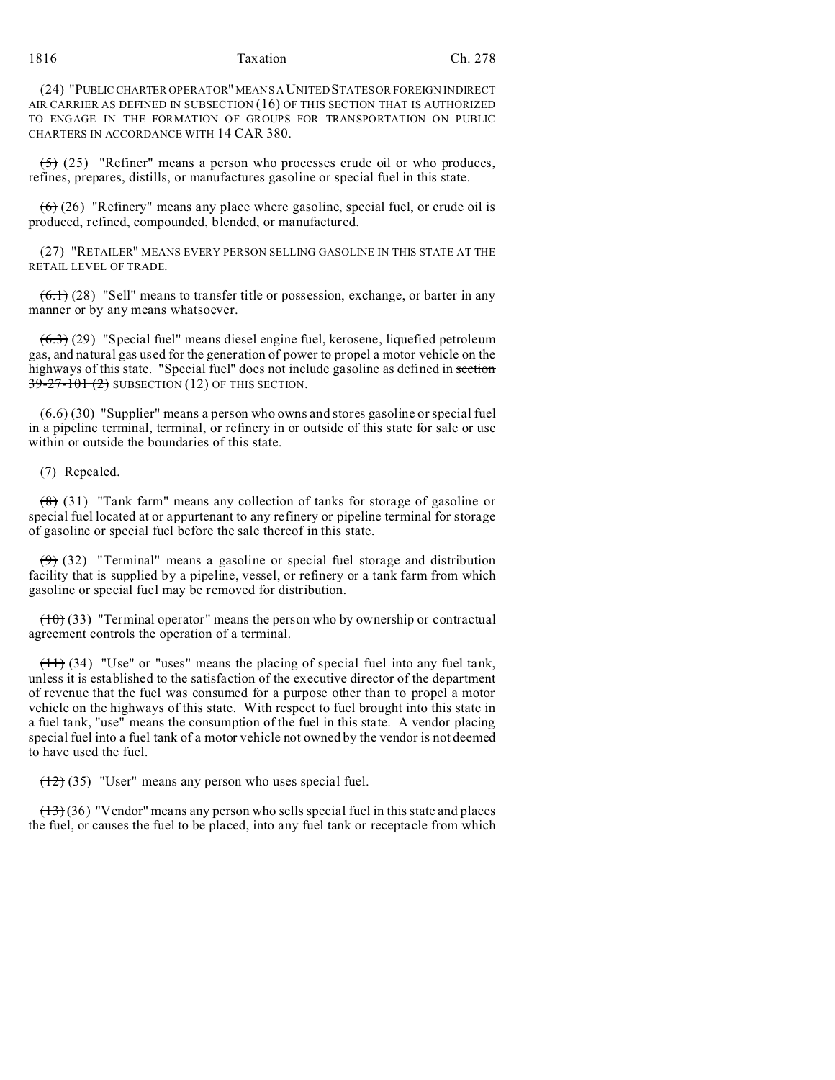1816 Taxation Ch. 278

(24) "PUBLIC CHARTER OPERATOR" MEANS A UNITED STATES OR FOREIGN INDIRECT AIR CARRIER AS DEFINED IN SUBSECTION (16) OF THIS SECTION THAT IS AUTHORIZED TO ENGAGE IN THE FORMATION OF GROUPS FOR TRANSPORTATION ON PUBLIC CHARTERS IN ACCORDANCE WITH 14 CAR 380.

 $(5)$  (25) "Refiner" means a person who processes crude oil or who produces, refines, prepares, distills, or manufactures gasoline or special fuel in this state.

 $(6)$  (26) "Refinery" means any place where gasoline, special fuel, or crude oil is produced, refined, compounded, blended, or manufactured.

(27) "RETAILER" MEANS EVERY PERSON SELLING GASOLINE IN THIS STATE AT THE RETAIL LEVEL OF TRADE.

 $(6.1)$  (28) "Sell" means to transfer title or possession, exchange, or barter in any manner or by any means whatsoever.

 $(6.3)$  (29) "Special fuel" means diesel engine fuel, kerosene, liquefied petroleum gas, and natural gas used for the generation of power to propel a motor vehicle on the highways of this state. "Special fuel" does not include gasoline as defined in section  $39-27-101(2)$  SUBSECTION (12) OF THIS SECTION.

 $(6.6)$  (30) "Supplier" means a person who owns and stores gasoline or special fuel in a pipeline terminal, terminal, or refinery in or outside of this state for sale or use within or outside the boundaries of this state.

### (7) Repealed.

(8) (31) "Tank farm" means any collection of tanks for storage of gasoline or special fuel located at or appurtenant to any refinery or pipeline terminal for storage of gasoline or special fuel before the sale thereof in this state.

 $(9)$  (32) "Terminal" means a gasoline or special fuel storage and distribution facility that is supplied by a pipeline, vessel, or refinery or a tank farm from which gasoline or special fuel may be removed for distribution.

 $(10)$  (33) "Terminal operator" means the person who by ownership or contractual agreement controls the operation of a terminal.

 $(11)$  (34) "Use" or "uses" means the placing of special fuel into any fuel tank, unless it is established to the satisfaction of the executive director of the department of revenue that the fuel was consumed for a purpose other than to propel a motor vehicle on the highways of this state. With respect to fuel brought into this state in a fuel tank, "use" means the consumption of the fuel in this state. A vendor placing special fuel into a fuel tank of a motor vehicle not owned by the vendor is not deemed to have used the fuel.

 $(12)$  (35) "User" means any person who uses special fuel.

 $(13)(36)$  "Vendor" means any person who sells special fuel in this state and places the fuel, or causes the fuel to be placed, into any fuel tank or receptacle from which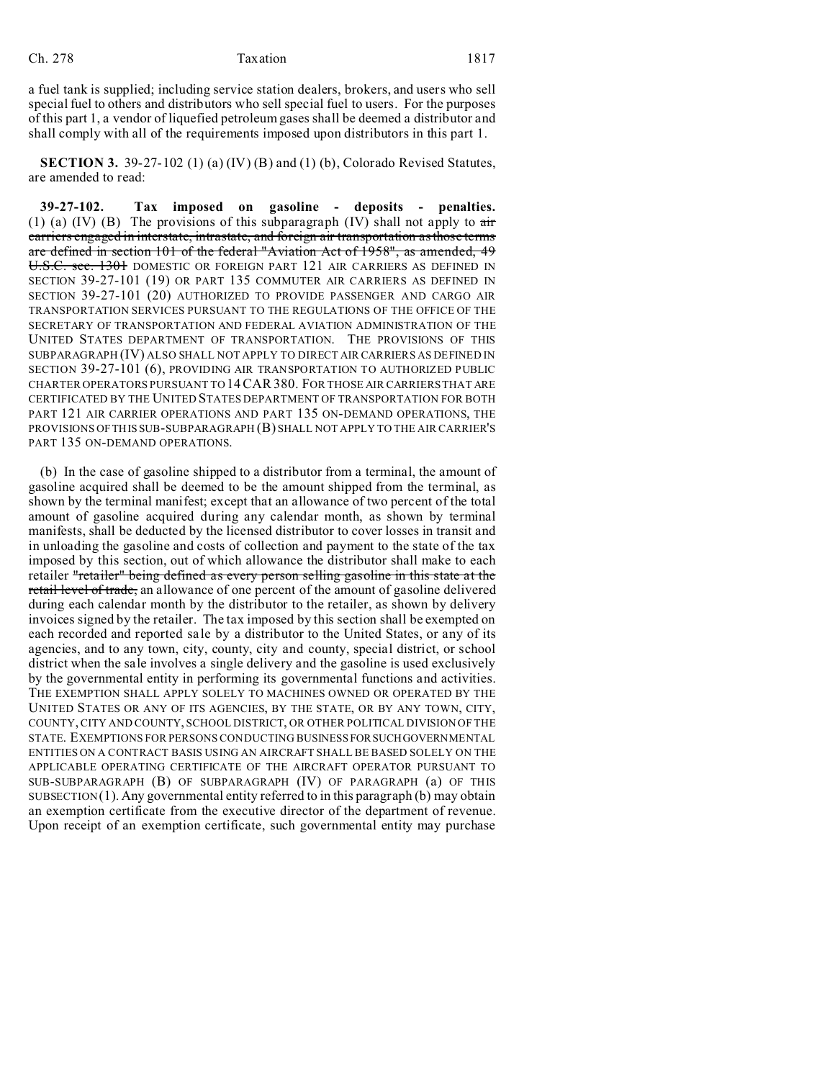a fuel tank is supplied; including service station dealers, brokers, and users who sell special fuel to others and distributors who sell special fuel to users. For the purposes of this part 1, a vendor of liquefied petroleum gases shall be deemed a distributor and shall comply with all of the requirements imposed upon distributors in this part 1.

**SECTION 3.** 39-27-102 (1) (a) (IV) (B) and (1) (b), Colorado Revised Statutes, are amended to read:

**39-27-102. Tax imposed on gasoline - deposits - penalties.** (1) (a) (IV) (B) The provisions of this subparagraph (IV) shall not apply to  $\frac{di}{dt}$ carriers engaged in interstate, intrastate, and foreign air transportation as those terms are defined in section 101 of the federal "Aviation Act of 1958", as amended, 49 U.S.C. sec. 1301 DOMESTIC OR FOREIGN PART 121 AIR CARRIERS AS DEFINED IN SECTION 39-27-101 (19) OR PART 135 COMMUTER AIR CARRIERS AS DEFINED IN SECTION 39-27-101 (20) AUTHORIZED TO PROVIDE PASSENGER AND CARGO AIR TRANSPORTATION SERVICES PURSUANT TO THE REGULATIONS OF THE OFFICE OF THE SECRETARY OF TRANSPORTATION AND FEDERAL AVIATION ADMINISTRATION OF THE UNITED STATES DEPARTMENT OF TRANSPORTATION. THE PROVISIONS OF THIS SUBPARAGRAPH (IV) ALSO SHALL NOT APPLY TO DIRECT AIR CARRIERS AS DEFINED IN SECTION 39-27-101 (6), PROVIDING AIR TRANSPORTATION TO AUTHORIZED PUBLIC CHARTER OPERATORS PURSUANT TO 14CAR380. FOR THOSE AIR CARRIERS THAT ARE CERTIFICATED BY THE UNITED STATES DEPARTMENT OF TRANSPORTATION FOR BOTH PART 121 AIR CARRIER OPERATIONS AND PART 135 ON-DEMAND OPERATIONS, THE PROVISIONS OF THIS SUB-SUBPARAGRAPH (B) SHALL NOT APPLY TO THE AIR CARRIER'S PART 135 ON-DEMAND OPERATIONS.

(b) In the case of gasoline shipped to a distributor from a terminal, the amount of gasoline acquired shall be deemed to be the amount shipped from the terminal, as shown by the terminal manifest; except that an allowance of two percent of the total amount of gasoline acquired during any calendar month, as shown by terminal manifests, shall be deducted by the licensed distributor to cover losses in transit and in unloading the gasoline and costs of collection and payment to the state of the tax imposed by this section, out of which allowance the distributor shall make to each retailer "retailer" being defined as every person selling gasoline in this state at the retail level of trade, an allowance of one percent of the amount of gasoline delivered during each calendar month by the distributor to the retailer, as shown by delivery invoices signed by the retailer. The tax imposed by this section shall be exempted on each recorded and reported sale by a distributor to the United States, or any of its agencies, and to any town, city, county, city and county, special district, or school district when the sale involves a single delivery and the gasoline is used exclusively by the governmental entity in performing its governmental functions and activities. THE EXEMPTION SHALL APPLY SOLELY TO MACHINES OWNED OR OPERATED BY THE UNITED STATES OR ANY OF ITS AGENCIES, BY THE STATE, OR BY ANY TOWN, CITY, COUNTY, CITY AND COUNTY, SCHOOL DISTRICT, OR OTHER POLITICAL DIVISION OF THE STATE. EXEMPTIONS FOR PERSONS CONDUCTING BUSINESSFORSUCHGOVERNMENTAL ENTITIES ON A CONTRACT BASIS USING AN AIRCRAFT SHALL BE BASED SOLELY ON THE APPLICABLE OPERATING CERTIFICATE OF THE AIRCRAFT OPERATOR PURSUANT TO SUB-SUBPARAGRAPH (B) OF SUBPARAGRAPH (IV) OF PARAGRAPH (a) OF THIS  $SUBSECTION(1)$ . Any governmental entity referred to in this paragraph (b) may obtain an exemption certificate from the executive director of the department of revenue. Upon receipt of an exemption certificate, such governmental entity may purchase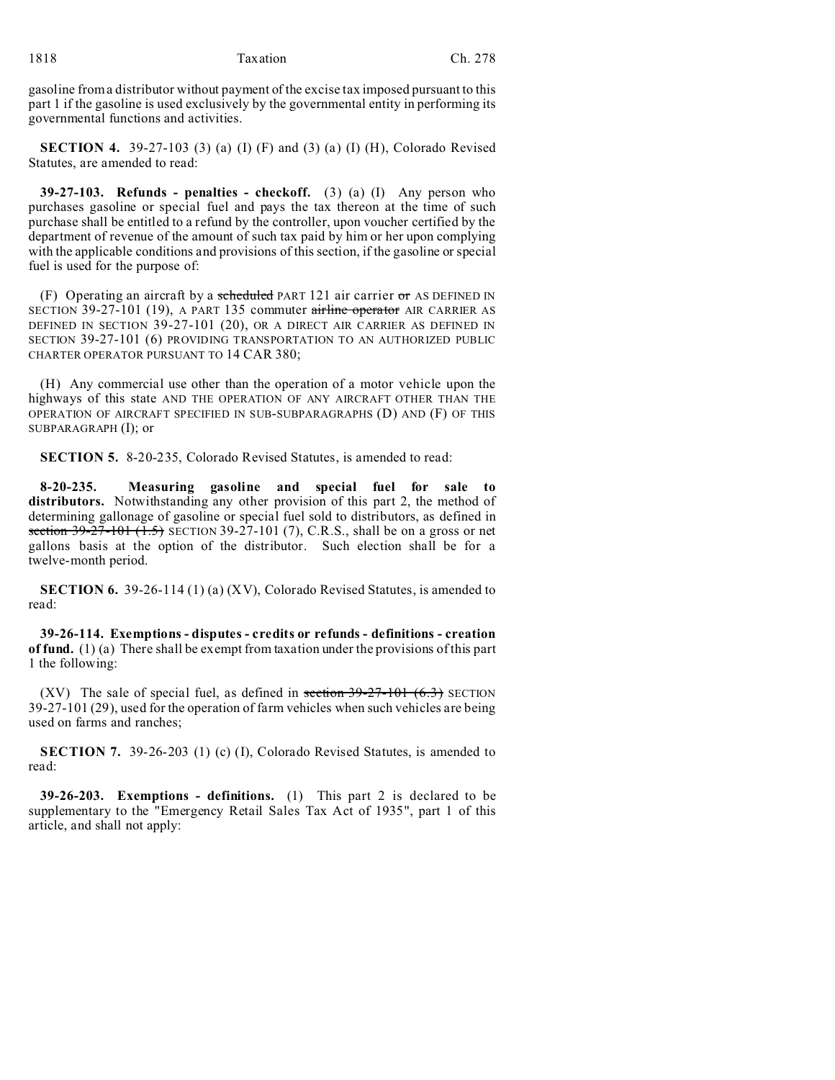gasoline from a distributor without payment of the excise tax imposed pursuant to this part 1 if the gasoline is used exclusively by the governmental entity in performing its governmental functions and activities.

**SECTION 4.** 39-27-103 (3) (a) (I) (F) and (3) (a) (I) (H), Colorado Revised Statutes, are amended to read:

**39-27-103. Refunds - penalties - checkoff.** (3) (a) (I) Any person who purchases gasoline or special fuel and pays the tax thereon at the time of such purchase shall be entitled to a refund by the controller, upon voucher certified by the department of revenue of the amount of such tax paid by him or her upon complying with the applicable conditions and provisions of this section, if the gasoline or special fuel is used for the purpose of:

(F) Operating an aircraft by a scheduled PART 121 air carrier or AS DEFINED IN SECTION 39-27-101 (19), A PART 135 commuter airline operator AIR CARRIER AS DEFINED IN SECTION 39-27-101 (20), OR A DIRECT AIR CARRIER AS DEFINED IN SECTION 39-27-101 (6) PROVIDING TRANSPORTATION TO AN AUTHORIZED PUBLIC CHARTER OPERATOR PURSUANT TO 14 CAR 380;

(H) Any commercial use other than the operation of a motor vehicle upon the highways of this state AND THE OPERATION OF ANY AIRCRAFT OTHER THAN THE OPERATION OF AIRCRAFT SPECIFIED IN SUB-SUBPARAGRAPHS (D) AND (F) OF THIS SUBPARAGRAPH (I); or

**SECTION 5.** 8-20-235, Colorado Revised Statutes, is amended to read:

**8-20-235. Measuring gasoline and special fuel for sale to distributors.** Notwithstanding any other provision of this part 2, the method of determining gallonage of gasoline or special fuel sold to distributors, as defined in section  $39-27-101$   $(1.5)$  SECTION 39-27-101  $(7)$ , C.R.S., shall be on a gross or net gallons basis at the option of the distributor. Such election shall be for a twelve-month period.

**SECTION 6.** 39-26-114 (1) (a) (XV), Colorado Revised Statutes, is amended to read:

**39-26-114. Exemptions - disputes - credits or refunds - definitions - creation of fund.** (1) (a) There shall be exempt from taxation under the provisions of this part 1 the following:

(XV) The sale of special fuel, as defined in section  $39-27-101$  (6.3) SECTION 39-27-101 (29), used for the operation of farm vehicles when such vehicles are being used on farms and ranches;

**SECTION 7.** 39-26-203 (1) (c) (I), Colorado Revised Statutes, is amended to read:

**39-26-203. Exemptions - definitions.** (1) This part 2 is declared to be supplementary to the "Emergency Retail Sales Tax Act of 1935", part 1 of this article, and shall not apply: